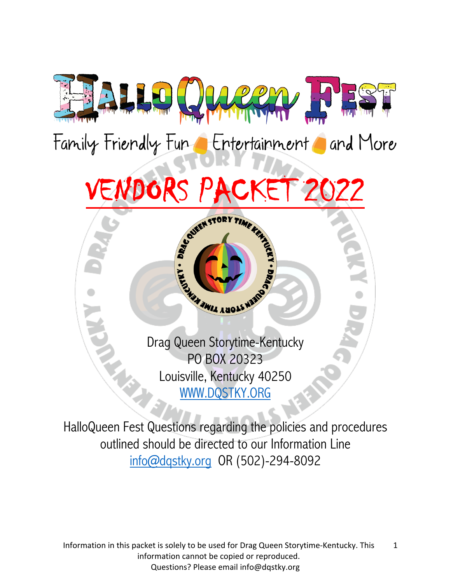

Family Friendly Fun Entertainment and More



Drag Queen Storytime-Kentucky PO BOX 20323 Louisville, Kentucky 40250 WWW.DQSTKY.ORG

HalloQueen Fest Questions regarding the policies and procedures outlined should be directed to our Information Line info@dqstky.org OR (502)-294-8092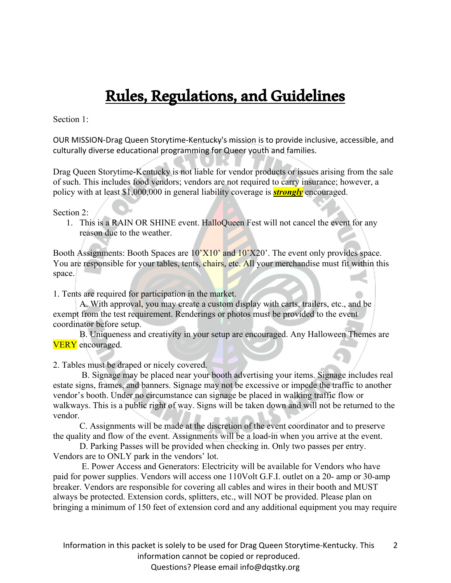## Rules, Regulations, and Guidelines

Section 1:

OUR MISSION-Drag Queen Storytime-Kentucky's mission is to provide inclusive, accessible, and culturally diverse educational programming for Queer youth and families.

Drag Queen Storytime-Kentucky is not liable for vendor products or issues arising from the sale of such. This includes food vendors; vendors are not required to carry insurance; however, a policy with at least \$1,000,000 in general liability coverage is *strongly* encouraged.

## Section 2:

1. This is a RAIN OR SHINE event. HalloQueen Fest will not cancel the event for any reason due to the weather.

Booth Assignments: Booth Spaces are  $10'X10'$  and  $10'X20'$ . The event only provides space. You are responsible for your tables, tents, chairs, etc. All your merchandise must fit within this space.

1. Tents are required for participation in the market.

A. With approval, you may create a custom display with carts, trailers, etc., and be exempt from the test requirement. Renderings or photos must be provided to the event coordinator before setup.

B. Uniqueness and creativity in your setup are encouraged. Any Halloween Themes are **VERY** encouraged.

2. Tables must be draped or nicely covered.

B. Signage may be placed near your booth advertising your items. Signage includes real estate signs, frames, and banners. Signage may not be excessive or impede the traffic to another vendor's booth. Under no circumstance can signage be placed in walking traffic flow or walkways. This is a public right of way. Signs will be taken down and will not be returned to the vendor.

C. Assignments will be made at the discretion of the event coordinator and to preserve the quality and flow of the event. Assignments will be a load-in when you arrive at the event.

D. Parking Passes will be provided when checking in. Only two passes per entry. Vendors are to ONLY park in the vendors' lot.

E. Power Access and Generators: Electricity will be available for Vendors who have paid for power supplies. Vendors will access one 110Volt G.F.I. outlet on a 20- amp or 30-amp breaker. Vendors are responsible for covering all cables and wires in their booth and MUST always be protected. Extension cords, splitters, etc., will NOT be provided. Please plan on bringing a minimum of 150 feet of extension cord and any additional equipment you may require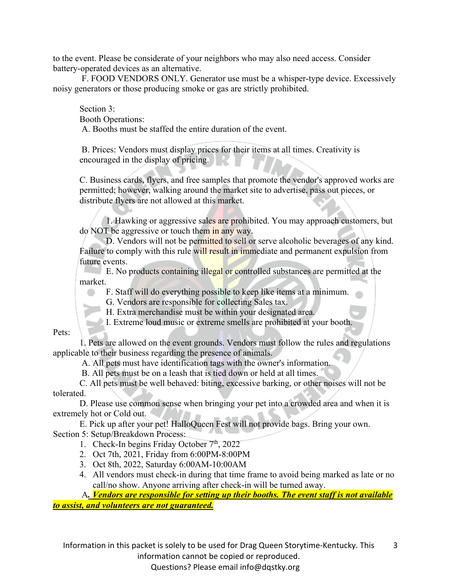to the event. Please be considerate of your neighbors who may also need access. Consider battery-operated devices as an alternative.

F. FOOD VENDORS ONLY. Generator use must be a whisper-type device. Excessively noisy generators or those producing smoke or gas are strictly prohibited.

Section 3:

Booth Operations:

A. Booths must be staffed the entire duration of the event.

B. Prices: Vendors must display prices for their items at all times. Creativity is encouraged in the display of pricing.

C. Business cards, flyers, and free samples that promote the vendor's approved works are permitted; however, walking around the market site to advertise, pass out pieces, or distribute flyers are not allowed at this market.

1. Hawking or aggressive sales are prohibited. You may approach customers, but do NOT be aggressive or touch them in any way.

D. Vendors will not be permitted to sell or serve alcoholic beverages of any kind. Failure to comply with this rule will result in immediate and permanent expulsion from future events.

E. No products containing illegal or controlled substances are permitted at the market.

F. Staff will do everything possible to keep like items at a minimum.

G. Vendors are responsible for collecting Sales tax.

H. Extra merchandise must be within your designated area.

I. Extreme loud music or extreme smells are prohibited at your booth.

Pets:

1. Pets are allowed on the event grounds. Vendors must follow the rules and regulations applicable to their business regarding the presence of animals.

A. All pets must have identification tags with the owner's information.

B. All pets must be on a leash that is tied down or held at all times.

C. All pets must be well behaved: biting, excessive barking, or other noises will not be tolerated.

D. Please use common sense when bringing your pet into a crowded area and when it is extremely hot or Cold out.

E. Pick up after your pet! HalloQueen Fest will not provide bags. Bring your own. Section 5: Setup/Breakdown Process:

1. Check-In begins Friday October  $7<sup>th</sup>$ , 2022

2. Oct 7th, 2021, Friday from 6:00PM-8:00PM

- 3. Oct 8th, 2022, Saturday 6:00AM-10:00AM
- 4. All vendors must check-in during that time frame to avoid being marked as late or no call/no show. Anyone arriving after check-in will be turned away.

A*. Vendors are responsible for setting up their booths. The event staff is not available to assist, and volunteers are not guaranteed.*

Information in this packet is solely to be used for Drag Queen Storytime-Kentucky. This 3

information cannot be copied or reproduced.

Questions? Please email info@dqstky.org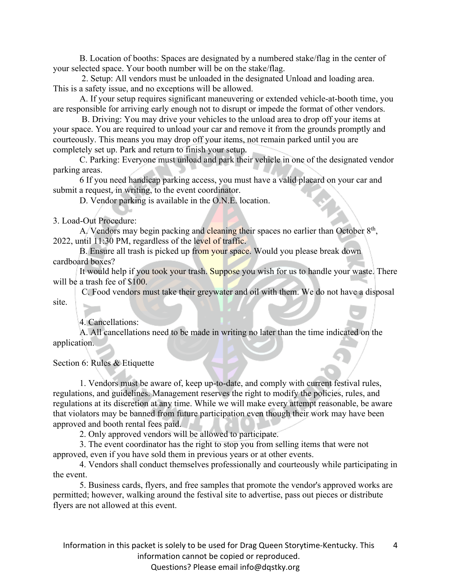B. Location of booths: Spaces are designated by a numbered stake/flag in the center of your selected space. Your booth number will be on the stake/flag.

2. Setup: All vendors must be unloaded in the designated Unload and loading area. This is a safety issue, and no exceptions will be allowed.

A. If your setup requires significant maneuvering or extended vehicle-at-booth time, you are responsible for arriving early enough not to disrupt or impede the format of other vendors.

B. Driving: You may drive your vehicles to the unload area to drop off your items at your space. You are required to unload your car and remove it from the grounds promptly and courteously. This means you may drop off your items, not remain parked until you are completely set up. Park and return to finish your setup.

C. Parking: Everyone must unload and park their vehicle in one of the designated vendor parking areas.

6 If you need handicap parking access, you must have a valid placard on your car and submit a request, in writing, to the event coordinator.

D. Vendor parking is available in the O.N.E. location.

3. Load-Out Procedure:

A. Vendors may begin packing and cleaning their spaces no earlier than October  $8<sup>th</sup>$ , 2022, until 11:30 PM, regardless of the level of traffic.

B. Ensure all trash is picked up from your space. Would you please break down cardboard boxes?

It would help if you took your trash. Suppose you wish for us to handle your waste. There will be a trash fee of \$100.

C. Food vendors must take their greywater and oil with them. We do not have a disposal site.

4. Cancellations:

A. All cancellations need to be made in writing no later than the time indicated on the application.

Section 6: Rules & Etiquette

1. Vendors must be aware of, keep up-to-date, and comply with current festival rules, regulations, and guidelines. Management reserves the right to modify the policies, rules, and regulations at its discretion at any time. While we will make every attempt reasonable, be aware that violators may be banned from future participation even though their work may have been approved and booth rental fees paid.

2. Only approved vendors will be allowed to participate.

3. The event coordinator has the right to stop you from selling items that were not approved, even if you have sold them in previous years or at other events.

4. Vendors shall conduct themselves professionally and courteously while participating in the event.

5. Business cards, flyers, and free samples that promote the vendor's approved works are permitted; however, walking around the festival site to advertise, pass out pieces or distribute flyers are not allowed at this event.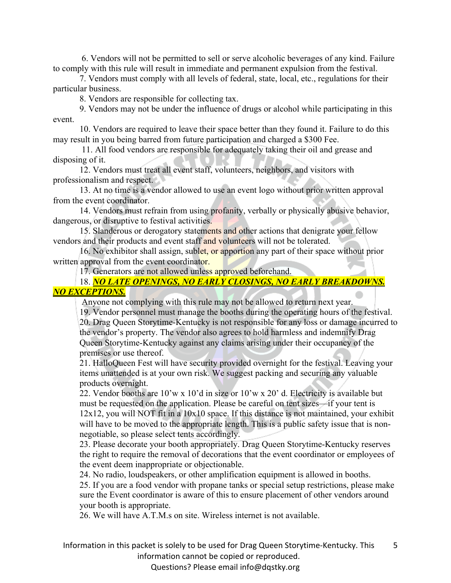6. Vendors will not be permitted to sell or serve alcoholic beverages of any kind. Failure to comply with this rule will result in immediate and permanent expulsion from the festival.

7. Vendors must comply with all levels of federal, state, local, etc., regulations for their particular business.

8. Vendors are responsible for collecting tax.

9. Vendors may not be under the influence of drugs or alcohol while participating in this event.

10. Vendors are required to leave their space better than they found it. Failure to do this may result in you being barred from future participation and charged a \$300 Fee.

11. All food vendors are responsible for adequately taking their oil and grease and disposing of it.

12. Vendors must treat all event staff, volunteers, neighbors, and visitors with professionalism and respect.

13. At no time is a vendor allowed to use an event logo without prior written approval from the event coordinator.

14. Vendors must refrain from using profanity, verbally or physically abusive behavior, dangerous, or disruptive to festival activities.

15. Slanderous or derogatory statements and other actions that denigrate your fellow vendors and their products and event staff and volunteers will not be tolerated.

16. No exhibitor shall assign, sublet, or apportion any part of their space without prior written approval from the event coordinator.

17. Generators are not allowed unless approved beforehand.

18. *NO LATE OPENINGS, NO EARLY CLOSINGS, NO EARLY BREAKDOWNS. NO EXCEPTIONS.*

Anyone not complying with this rule may not be allowed to return next year.

19. Vendor personnel must manage the booths during the operating hours of the festival. 20. Drag Queen Storytime-Kentucky is not responsible for any loss or damage incurred to the vendor's property. The vendor also agrees to hold harmless and indemnify Drag Queen Storytime-Kentucky against any claims arising under their occupancy of the premises or use thereof.

21. HalloQueen Fest will have security provided overnight for the festival. Leaving your items unattended is at your own risk. We suggest packing and securing any valuable products overnight.

22. Vendor booths are 10'w x 10'd in size or 10'w x 20' d. Electricity is available but must be requested on the application. Please be careful on tent sizes—if your tent is  $12x12$ , you will NOT fit in a  $10x10$  space. If this distance is not maintained, your exhibit will have to be moved to the appropriate length. This is a public safety issue that is nonnegotiable, so please select tents accordingly.

23. Please decorate your booth appropriately. Drag Queen Storytime-Kentucky reserves the right to require the removal of decorations that the event coordinator or employees of the event deem inappropriate or objectionable.

24. No radio, loudspeakers, or other amplification equipment is allowed in booths.

25. If you are a food vendor with propane tanks or special setup restrictions, please make sure the Event coordinator is aware of this to ensure placement of other vendors around your booth is appropriate.

26. We will have A.T.M.s on site. Wireless internet is not available.

Information in this packet is solely to be used for Drag Queen Storytime-Kentucky. This 5

information cannot be copied or reproduced.

Questions? Please email info@dqstky.org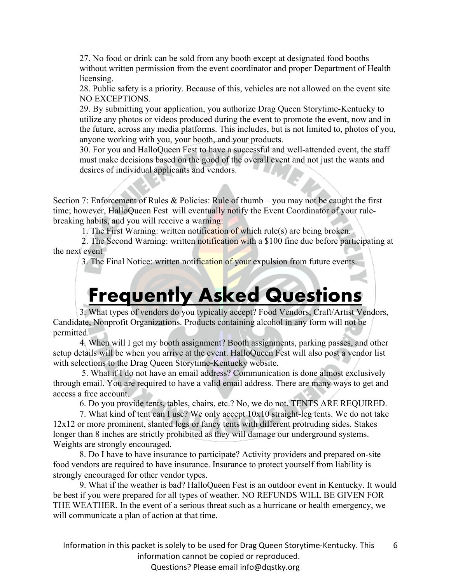27. No food or drink can be sold from any booth except at designated food booths without written permission from the event coordinator and proper Department of Health licensing.

28. Public safety is a priority. Because of this, vehicles are not allowed on the event site NO EXCEPTIONS.

29. By submitting your application, you authorize Drag Queen Storytime-Kentucky to utilize any photos or videos produced during the event to promote the event, now and in the future, across any media platforms. This includes, but is not limited to, photos of you, anyone working with you, your booth, and your products.

30. For you and HalloQueen Fest to have a successful and well-attended event, the staff must make decisions based on the good of the overall event and not just the wants and desires of individual applicants and vendors.

Section 7: Enforcement of Rules & Policies: Rule of thumb – you may not be caught the first time; however, HalloQueen Fest will eventually notify the Event Coordinator of your rulebreaking habits, and you will receive a warning:

1. The First Warning: written notification of which rule(s) are being broken.

2. The Second Warning: written notification with a \$100 fine due before participating at the next event

3. The Final Notice: written notification of your expulsion from future events.

## **Frequently Asked Questions**

3. What types of vendors do you typically accept? Food Vendors, Craft/Artist Vendors, Candidate, Nonprofit Organizations. Products containing alcohol in any form will not be permitted.

4. When will I get my booth assignment? Booth assignments, parking passes, and other setup details will be when you arrive at the event. HalloQueen Fest will also post a vendor list with selections to the Drag Queen Storytime-Kentucky website.

5. What if I do not have an email address? Communication is done almost exclusively through email. You are required to have a valid email address. There are many ways to get and access a free account.

6. Do you provide tents, tables, chairs, etc.? No, we do not. TENTS ARE REQUIRED.

7. What kind of tent can I use? We only accept 10x10 straight-leg tents. We do not take 12x12 or more prominent, slanted legs or fancy tents with different protruding sides. Stakes longer than 8 inches are strictly prohibited as they will damage our underground systems. Weights are strongly encouraged.

8. Do I have to have insurance to participate? Activity providers and prepared on-site food vendors are required to have insurance. Insurance to protect yourself from liability is strongly encouraged for other vendor types.

9. What if the weather is bad? HalloQueen Fest is an outdoor event in Kentucky. It would be best if you were prepared for all types of weather. NO REFUNDS WILL BE GIVEN FOR THE WEATHER. In the event of a serious threat such as a hurricane or health emergency, we will communicate a plan of action at that time.